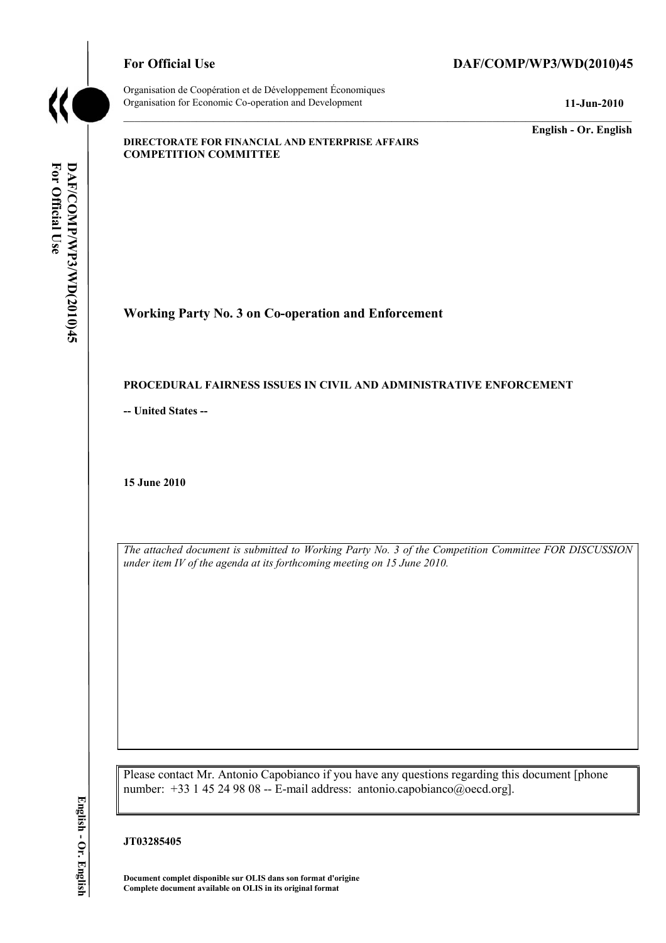

Organisation de Coopération et de Développement Économiques Organisation for Economic Co-operation and Development **11-Jun-2010** 

# For Official Use DAF/COMP/WP3/WD(2010)45

**English - Or. English** 

#### **DIRECTORATE FOR FINANCIAL AND ENTERPRISE AFFAIRS COMPETITION COMMITTEE**

**Working Party No. 3 on Co-operation and Enforcement** 

### **PROCEDURAL FAIRNESS ISSUES IN CIVIL AND ADMINISTRATIVE ENFORCEMENT**

**-- United States --**

**15 June 2010** 

*The attached document is submitted to Working Party No. 3 of the Competition Committee FOR DISCUSSION under item IV of the agenda at its forthcoming meeting on 15 June 2010.* 

Please contact Mr. Antonio Capobianco if you have any questions regarding this document [phone number: +33 1 45 24 98 08 -- E-mail address: antonio.capobianco@oecd.org].

#### **JT03285405**

 **Document complet disponible sur OLIS dans son format d'origine Complete document available on OLIS in its original format**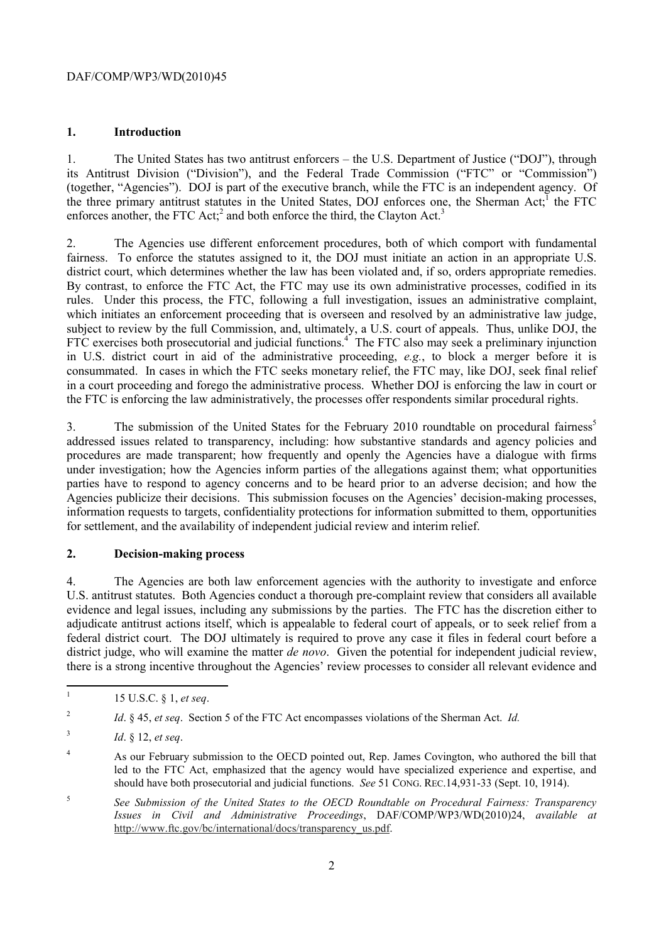# **1. Introduction**

1. The United States has two antitrust enforcers – the U.S. Department of Justice ("DOJ"), through its Antitrust Division ("Division"), and the Federal Trade Commission ("FTC" or "Commission") (together, "Agencies"). DOJ is part of the executive branch, while the FTC is an independent agency. Of the three primary antitrust statutes in the United States, DOJ enforces one, the Sherman Act;<sup>1</sup> the FTC enforces another, the FTC Act;<sup>2</sup> and both enforce the third, the Clayton Act.<sup>3</sup>

district court, which determines whether the law has been violated and, if so, orders appropriate remedies. rules. Under this process, the FTC, following a full investigation, issues an administrative complaint, 2. The Agencies use different enforcement procedures, both of which comport with fundamental fairness. To enforce the statutes assigned to it, the DOJ must initiate an action in an appropriate U.S. By contrast, to enforce the FTC Act, the FTC may use its own administrative processes, codified in its which initiates an enforcement proceeding that is overseen and resolved by an administrative law judge, subject to review by the full Commission, and, ultimately, a U.S. court of appeals. Thus, unlike DOJ, the FTC exercises both prosecutorial and judicial functions.<sup>4</sup> The FTC also may seek a preliminary injunction in U.S. district court in aid of the administrative proceeding, *e.g.*, to block a merger before it is consummated. In cases in which the FTC seeks monetary relief, the FTC may, like DOJ, seek final relief in a court proceeding and forego the administrative process. Whether DOJ is enforcing the law in court or the FTC is enforcing the law administratively, the processes offer respondents similar procedural rights.

3. The submission of the United States for the February 2010 roundtable on procedural fairness<sup>5</sup> addressed issues related to transparency, including: how substantive standards and agency policies and procedures are made transparent; how frequently and openly the Agencies have a dialogue with firms under investigation; how the Agencies inform parties of the allegations against them; what opportunities parties have to respond to agency concerns and to be heard prior to an adverse decision; and how the Agencies publicize their decisions. This submission focuses on the Agencies' decision-making processes, information requests to targets, confidentiality protections for information submitted to them, opportunities for settlement, and the availability of independent judicial review and interim relief.

### **2. Decision-making process**

4. The Agencies are both law enforcement agencies with the authority to investigate and enforce U.S. antitrust statutes. Both Agencies conduct a thorough pre-complaint review that considers all available evidence and legal issues, including any submissions by the parties. The FTC has the discretion either to adjudicate antitrust actions itself, which is appealable to federal court of appeals, or to seek relief from a federal district court. The DOJ ultimately is required to prove any case it files in federal court before a district judge, who will examine the matter *de novo*. Given the potential for independent judicial review, there is a strong incentive throughout the Agencies' review processes to consider all relevant evidence and

<sup>1 15</sup> U.S.C. § 1, *et seq*.

<sup>2</sup>*Id*. § 45, *et seq*. Section 5 of the FTC Act encompasses violations of the Sherman Act. *Id.* 

<sup>3</sup>*Id*. § 12, *et seq*.

 $\overline{\mathbf{A}}$ 4 As our February submission to the OECD pointed out, Rep. James Covington, who authored the bill that led to the FTC Act, emphasized that the agency would have specialized experience and expertise, and should have both prosecutorial and judicial functions. *See* 51 CONG. REC.14,931-33 (Sept. 10, 1914).

<sup>5</sup>*See Submission of the United States to the OECD Roundtable on Procedural Fairness: Transparency Issues in Civil and Administrative Proceedings*, DAF/COMP/WP3/WD(2010)24, *available at*  http://www.ftc.gov/bc/international/docs/transparency\_us.pdf.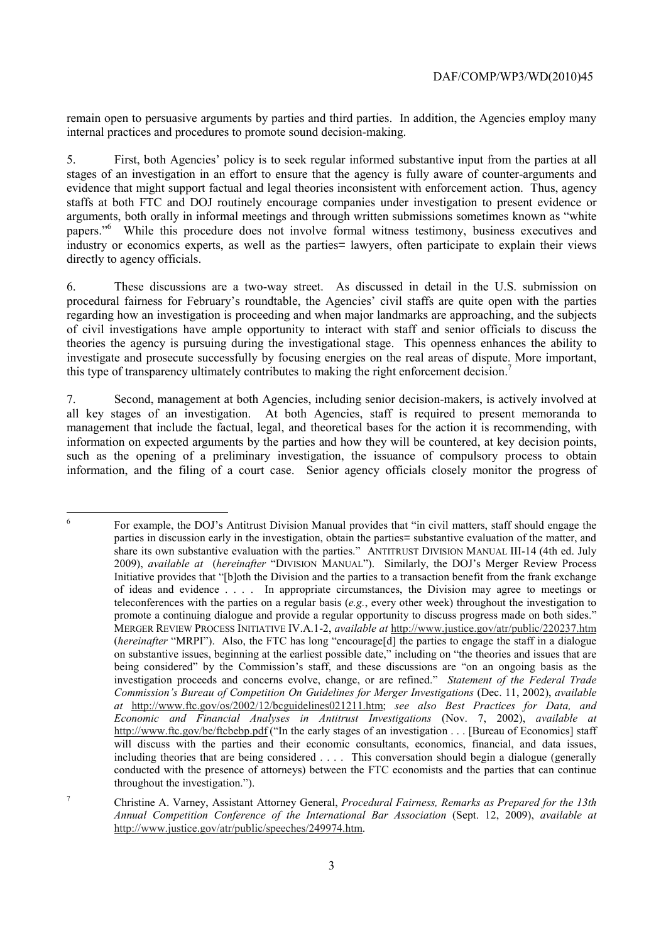remain open to persuasive arguments by parties and third parties. In addition, the Agencies employ many internal practices and procedures to promote sound decision-making.

 evidence that might support factual and legal theories inconsistent with enforcement action. Thus, agency directly to agency officials. 5. First, both Agencies' policy is to seek regular informed substantive input from the parties at all stages of an investigation in an effort to ensure that the agency is fully aware of counter-arguments and staffs at both FTC and DOJ routinely encourage companies under investigation to present evidence or arguments, both orally in informal meetings and through written submissions sometimes known as "white papers."<sup>6</sup> While this procedure does not involve formal witness testimony, business executives and industry or economics experts, as well as the parties= lawyers, often participate to explain their views

6. These discussions are a two-way street. As discussed in detail in the U.S. submission on procedural fairness for February's roundtable, the Agencies' civil staffs are quite open with the parties regarding how an investigation is proceeding and when major landmarks are approaching, and the subjects of civil investigations have ample opportunity to interact with staff and senior officials to discuss the theories the agency is pursuing during the investigational stage. This openness enhances the ability to investigate and prosecute successfully by focusing energies on the real areas of dispute. More important, this type of transparency ultimately contributes to making the right enforcement decision.<sup>7</sup>

7. Second, management at both Agencies, including senior decision-makers, is actively involved at all key stages of an investigation. At both Agencies, staff is required to present memoranda to management that include the factual, legal, and theoretical bases for the action it is recommending, with information on expected arguments by the parties and how they will be countered, at key decision points, such as the opening of a preliminary investigation, the issuance of compulsory process to obtain information, and the filing of a court case. Senior agency officials closely monitor the progress of

 $\ddot{6}$  being considered" by the Commission's staff, and these discussions are "on an ongoing basis as the  *at* http://www.ftc.gov/os/2002/12/bcguidelines021211.htm; *see also Best Practices for Data, and*  http://www.ftc.gov/be/ftcbebp.pdf ("In the early stages of an investigation . . . [Bureau of Economics] staff 6 For example, the DOJ's Antitrust Division Manual provides that "in civil matters, staff should engage the parties in discussion early in the investigation, obtain the parties= substantive evaluation of the matter, and share its own substantive evaluation with the parties." ANTITRUST DIVISION MANUAL III-14 (4th ed. July 2009), *available at* (*hereinafter* "DIVISION MANUAL"). Similarly, the DOJ's Merger Review Process Initiative provides that "[b]oth the Division and the parties to a transaction benefit from the frank exchange of ideas and evidence . . . . In appropriate circumstances, the Division may agree to meetings or teleconferences with the parties on a regular basis (*e.g.*, every other week) throughout the investigation to promote a continuing dialogue and provide a regular opportunity to discuss progress made on both sides." MERGER REVIEW PROCESS INITIATIVE IV.A.1-2, *available at* http://www.justice.gov/atr/public/220237.htm (*hereinafter* "MRPI"). Also, the FTC has long "encourage[d] the parties to engage the staff in a dialogue on substantive issues, beginning at the earliest possible date," including on "the theories and issues that are investigation proceeds and concerns evolve, change, or are refined." *Statement of the Federal Trade Commission's Bureau of Competition On Guidelines for Merger Investigations* (Dec. 11, 2002), *available Economic and Financial Analyses in Antitrust Investigations* (Nov. 7, 2002), *available at*  will discuss with the parties and their economic consultants, economics, financial, and data issues, including theories that are being considered . . . . This conversation should begin a dialogue (generally conducted with the presence of attorneys) between the FTC economists and the parties that can continue throughout the investigation.").

<sup>7</sup> Christine A. Varney, Assistant Attorney General, *Procedural Fairness, Remarks as Prepared for the 13th Annual Competition Conference of the International Bar Association* (Sept. 12, 2009), *available at*  http://www.justice.gov/atr/public/speeches/249974.htm.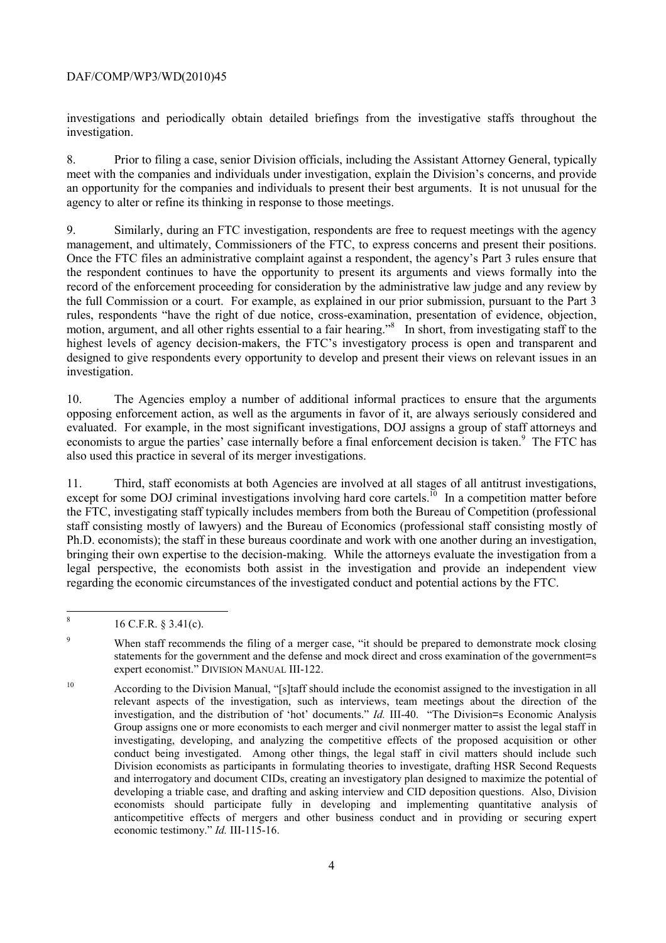investigation. investigations and periodically obtain detailed briefings from the investigative staffs throughout the

8. Prior to filing a case, senior Division officials, including the Assistant Attorney General, typically meet with the companies and individuals under investigation, explain the Division's concerns, and provide an opportunity for the companies and individuals to present their best arguments. It is not unusual for the agency to alter or refine its thinking in response to those meetings.

management, and ultimately, Commissioners of the FTC, to express concerns and present their positions. investigation. 9. Similarly, during an FTC investigation, respondents are free to request meetings with the agency Once the FTC files an administrative complaint against a respondent, the agency's Part 3 rules ensure that the respondent continues to have the opportunity to present its arguments and views formally into the record of the enforcement proceeding for consideration by the administrative law judge and any review by the full Commission or a court. For example, as explained in our prior submission, pursuant to the Part 3 rules, respondents "have the right of due notice, cross-examination, presentation of evidence, objection, motion, argument, and all other rights essential to a fair hearing."<sup>8</sup> In short, from investigating staff to the highest levels of agency decision-makers, the FTC's investigatory process is open and transparent and designed to give respondents every opportunity to develop and present their views on relevant issues in an

10. The Agencies employ a number of additional informal practices to ensure that the arguments opposing enforcement action, as well as the arguments in favor of it, are always seriously considered and evaluated. For example, in the most significant investigations, DOJ assigns a group of staff attorneys and economists to argue the parties' case internally before a final enforcement decision is taken.<sup>9</sup> The FTC has also used this practice in several of its merger investigations.

except for some DOJ criminal investigations involving hard core cartels.<sup>10</sup> In a competition matter before 11. Third, staff economists at both Agencies are involved at all stages of all antitrust investigations, the FTC, investigating staff typically includes members from both the Bureau of Competition (professional staff consisting mostly of lawyers) and the Bureau of Economics (professional staff consisting mostly of Ph.D. economists); the staff in these bureaus coordinate and work with one another during an investigation, bringing their own expertise to the decision-making. While the attorneys evaluate the investigation from a legal perspective, the economists both assist in the investigation and provide an independent view regarding the economic circumstances of the investigated conduct and potential actions by the FTC.

<sup>8 16</sup> C.F.R. § 3.41(c).

<sup>&</sup>lt;sup>9</sup> When staff recommends the filing of a merger case, "it should be prepared to demonstrate mock closing statements for the government and the defense and mock direct and cross examination of the government=s expert economist." DIVISION MANUAL III-122.

<sup>10</sup>  Division economists as participants in formulating theories to investigate, drafting HSR Second Requests According to the Division Manual, "[s]taff should include the economist assigned to the investigation in all relevant aspects of the investigation, such as interviews, team meetings about the direction of the investigation, and the distribution of 'hot' documents." *Id.* III-40. "The Division=s Economic Analysis Group assigns one or more economists to each merger and civil nonmerger matter to assist the legal staff in investigating, developing, and analyzing the competitive effects of the proposed acquisition or other conduct being investigated. Among other things, the legal staff in civil matters should include such and interrogatory and document CIDs, creating an investigatory plan designed to maximize the potential of developing a triable case, and drafting and asking interview and CID deposition questions. Also, Division economists should participate fully in developing and implementing quantitative analysis of anticompetitive effects of mergers and other business conduct and in providing or securing expert economic testimony." *Id.* III-115-16.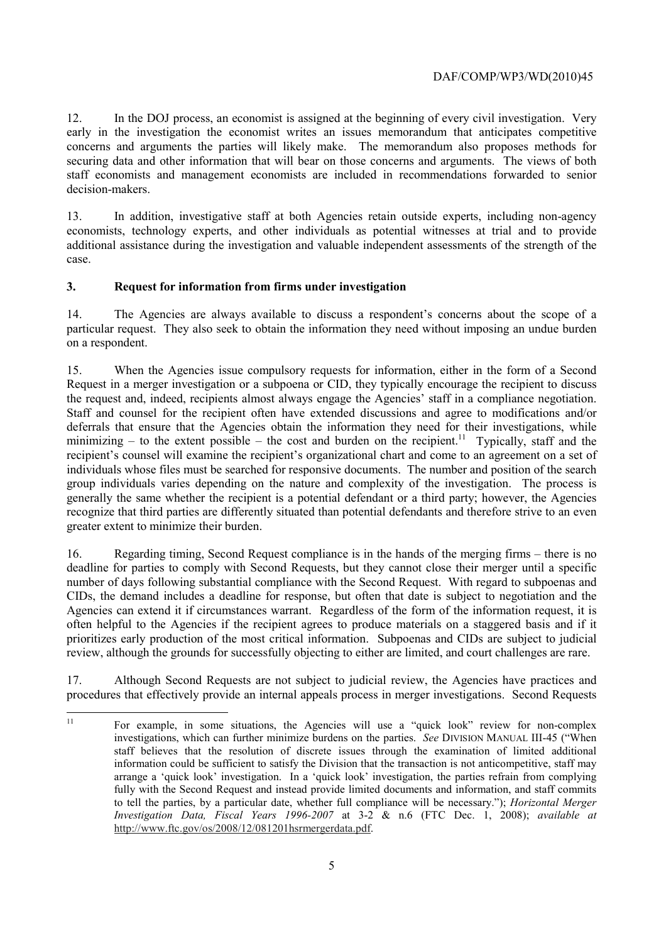12. In the DOJ process, an economist is assigned at the beginning of every civil investigation. Very early in the investigation the economist writes an issues memorandum that anticipates competitive concerns and arguments the parties will likely make. The memorandum also proposes methods for securing data and other information that will bear on those concerns and arguments. The views of both staff economists and management economists are included in recommendations forwarded to senior decision-makers.

13. In addition, investigative staff at both Agencies retain outside experts, including non-agency economists, technology experts, and other individuals as potential witnesses at trial and to provide additional assistance during the investigation and valuable independent assessments of the strength of the case.

# **3. Request for information from firms under investigation**

 14. The Agencies are always available to discuss a respondent's concerns about the scope of a particular request. They also seek to obtain the information they need without imposing an undue burden on a respondent.

 the request and, indeed, recipients almost always engage the Agencies' staff in a compliance negotiation. group individuals varies depending on the nature and complexity of the investigation. The process is 15. When the Agencies issue compulsory requests for information, either in the form of a Second Request in a merger investigation or a subpoena or CID, they typically encourage the recipient to discuss Staff and counsel for the recipient often have extended discussions and agree to modifications and/or deferrals that ensure that the Agencies obtain the information they need for their investigations, while minimizing – to the extent possible – the cost and burden on the recipient.<sup>11</sup> Typically, staff and the recipient's counsel will examine the recipient's organizational chart and come to an agreement on a set of individuals whose files must be searched for responsive documents. The number and position of the search generally the same whether the recipient is a potential defendant or a third party; however, the Agencies recognize that third parties are differently situated than potential defendants and therefore strive to an even greater extent to minimize their burden.

 number of days following substantial compliance with the Second Request. With regard to subpoenas and prioritizes early production of the most critical information. Subpoenas and CIDs are subject to judicial 16. Regarding timing, Second Request compliance is in the hands of the merging firms – there is no deadline for parties to comply with Second Requests, but they cannot close their merger until a specific CIDs, the demand includes a deadline for response, but often that date is subject to negotiation and the Agencies can extend it if circumstances warrant. Regardless of the form of the information request, it is often helpful to the Agencies if the recipient agrees to produce materials on a staggered basis and if it review, although the grounds for successfully objecting to either are limited, and court challenges are rare.

17. Although Second Requests are not subject to judicial review, the Agencies have practices and procedures that effectively provide an internal appeals process in merger investigations. Second Requests

 $11$  arrange a 'quick look' investigation. In a 'quick look' investigation, the parties refrain from complying 11 For example, in some situations, the Agencies will use a "quick look" review for non-complex investigations, which can further minimize burdens on the parties. *See* DIVISION MANUAL III-45 ("When staff believes that the resolution of discrete issues through the examination of limited additional information could be sufficient to satisfy the Division that the transaction is not anticompetitive, staff may fully with the Second Request and instead provide limited documents and information, and staff commits to tell the parties, by a particular date, whether full compliance will be necessary."); *Horizontal Merger Investigation Data, Fiscal Years 1996-2007* at 3-2 & n.6 (FTC Dec. 1, 2008); *available at*  http://www.ftc.gov/os/2008/12/081201hsrmergerdata.pdf.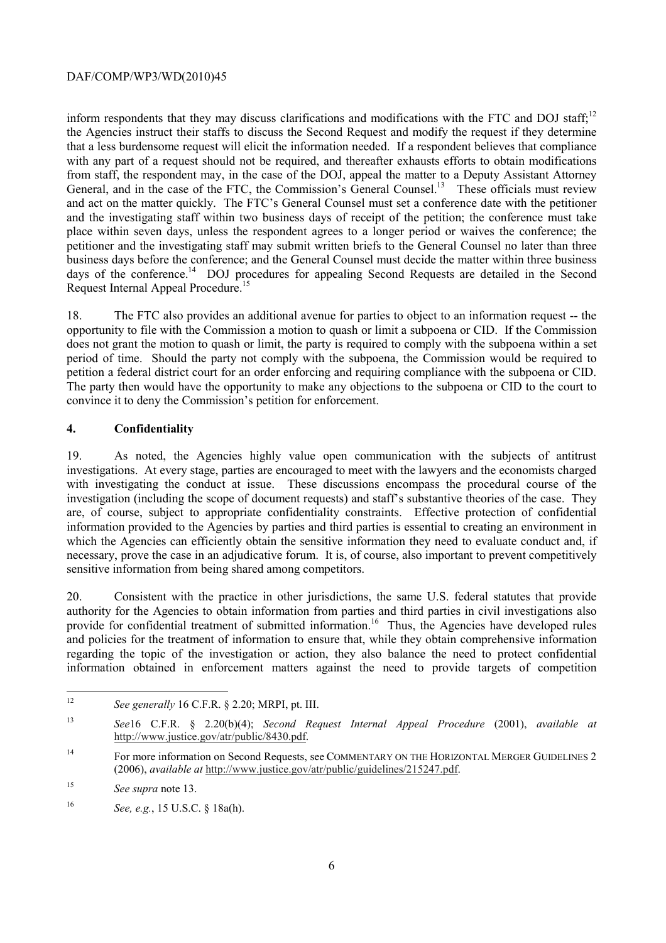inform respondents that they may discuss clarifications and modifications with the FTC and DOJ staff;<sup>12</sup> with any part of a request should not be required, and thereafter exhausts efforts to obtain modifications General, and in the case of the FTC, the Commission's General Counsel.<sup>13</sup> These officials must review the Agencies instruct their staffs to discuss the Second Request and modify the request if they determine that a less burdensome request will elicit the information needed. If a respondent believes that compliance from staff, the respondent may, in the case of the DOJ, appeal the matter to a Deputy Assistant Attorney and act on the matter quickly. The FTC's General Counsel must set a conference date with the petitioner and the investigating staff within two business days of receipt of the petition; the conference must take place within seven days, unless the respondent agrees to a longer period or waives the conference; the petitioner and the investigating staff may submit written briefs to the General Counsel no later than three business days before the conference; and the General Counsel must decide the matter within three business days of the conference.<sup>14</sup> DOJ procedures for appealing Second Requests are detailed in the Second Request Internal Appeal Procedure.15

18. The FTC also provides an additional avenue for parties to object to an information request -- the opportunity to file with the Commission a motion to quash or limit a subpoena or CID. If the Commission does not grant the motion to quash or limit, the party is required to comply with the subpoena within a set period of time. Should the party not comply with the subpoena, the Commission would be required to petition a federal district court for an order enforcing and requiring compliance with the subpoena or CID. The party then would have the opportunity to make any objections to the subpoena or CID to the court to convince it to deny the Commission's petition for enforcement.

# **4. Confidentiality**

 investigation (including the scope of document requests) and staff's substantive theories of the case. They 19. As noted, the Agencies highly value open communication with the subjects of antitrust investigations. At every stage, parties are encouraged to meet with the lawyers and the economists charged with investigating the conduct at issue. These discussions encompass the procedural course of the are, of course, subject to appropriate confidentiality constraints. Effective protection of confidential information provided to the Agencies by parties and third parties is essential to creating an environment in which the Agencies can efficiently obtain the sensitive information they need to evaluate conduct and, if necessary, prove the case in an adjudicative forum. It is, of course, also important to prevent competitively sensitive information from being shared among competitors.

20. Consistent with the practice in other jurisdictions, the same U.S. federal statutes that provide authority for the Agencies to obtain information from parties and third parties in civil investigations also provide for confidential treatment of submitted information.<sup>16</sup> Thus, the Agencies have developed rules and policies for the treatment of information to ensure that, while they obtain comprehensive information regarding the topic of the investigation or action, they also balance the need to protect confidential information obtained in enforcement matters against the need to provide targets of competition

<sup>12</sup>*See generally* 16 C.F.R. § 2.20; MRPI, pt. III.

 $13$ <sup>13</sup>*See*16 C.F.R. § 2.20(b)(4); *Second Request Internal Appeal Procedure* (2001), *available at*  http://www.justice.gov/atr/public/8430.pdf.

<sup>&</sup>lt;sup>14</sup> For more information on Second Requests, see COMMENTARY ON THE HORIZONTAL MERGER GUIDELINES 2 (2006), *available at* http://www.justice.gov/atr/public/guidelines/215247.pdf.

<sup>15</sup> <sup>15</sup>*See supra* note 13.

<sup>16</sup> <sup>16</sup>*See, e.g.*, 15 U.S.C. § 18a(h).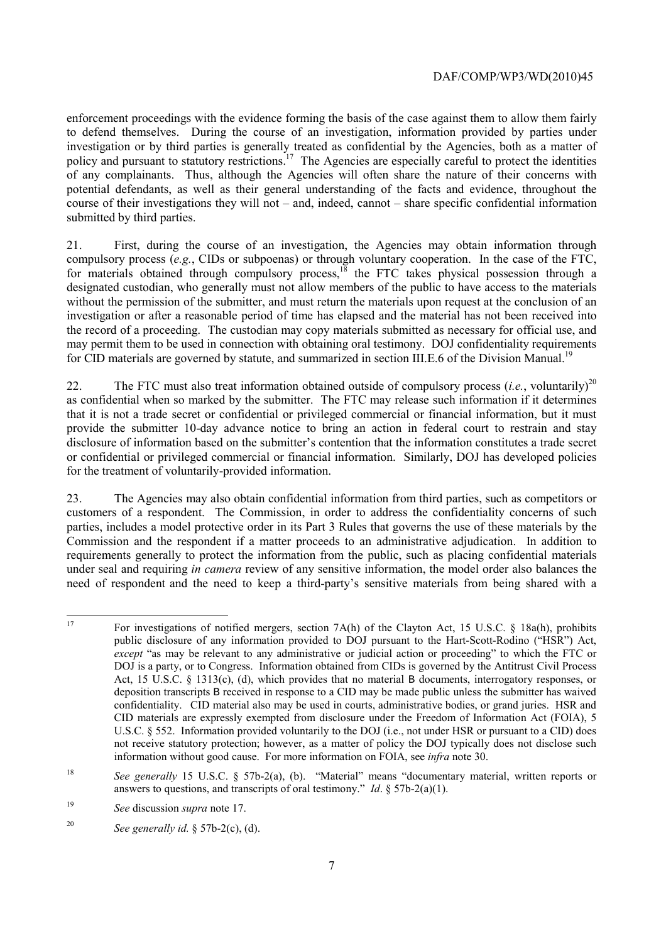submitted by third parties. enforcement proceedings with the evidence forming the basis of the case against them to allow them fairly to defend themselves. During the course of an investigation, information provided by parties under investigation or by third parties is generally treated as confidential by the Agencies, both as a matter of policy and pursuant to statutory restrictions.<sup>17</sup> The Agencies are especially careful to protect the identities of any complainants. Thus, although the Agencies will often share the nature of their concerns with potential defendants, as well as their general understanding of the facts and evidence, throughout the course of their investigations they will not – and, indeed, cannot – share specific confidential information

21. First, during the course of an investigation, the Agencies may obtain information through compulsory process (*e.g.*, CIDs or subpoenas) or through voluntary cooperation. In the case of the FTC, for materials obtained through compulsory process, $18$  the FTC takes physical possession through a designated custodian, who generally must not allow members of the public to have access to the materials without the permission of the submitter, and must return the materials upon request at the conclusion of an investigation or after a reasonable period of time has elapsed and the material has not been received into the record of a proceeding. The custodian may copy materials submitted as necessary for official use, and may permit them to be used in connection with obtaining oral testimony. DOJ confidentiality requirements for CID materials are governed by statute, and summarized in section III.E.6 of the Division Manual.<sup>19</sup>

 as confidential when so marked by the submitter. The FTC may release such information if it determines 22. The FTC must also treat information obtained outside of compulsory process (*i.e.*, voluntarily)<sup>20</sup> that it is not a trade secret or confidential or privileged commercial or financial information, but it must provide the submitter 10-day advance notice to bring an action in federal court to restrain and stay disclosure of information based on the submitter's contention that the information constitutes a trade secret or confidential or privileged commercial or financial information. Similarly, DOJ has developed policies for the treatment of voluntarily-provided information.

23. The Agencies may also obtain confidential information from third parties, such as competitors or customers of a respondent. The Commission, in order to address the confidentiality concerns of such parties, includes a model protective order in its Part 3 Rules that governs the use of these materials by the Commission and the respondent if a matter proceeds to an administrative adjudication. In addition to requirements generally to protect the information from the public, such as placing confidential materials under seal and requiring *in camera* review of any sensitive information, the model order also balances the need of respondent and the need to keep a third-party's sensitive materials from being shared with a

 Act, 15 U.S.C. § 1313(c), (d), which provides that no material B documents, interrogatory responses, or deposition transcripts B received in response to a CID may be made public unless the submitter has waived For investigations of notified mergers, section  $7A(h)$  of the Clayton Act, 15 U.S.C. § 18a(h), prohibits public disclosure of any information provided to DOJ pursuant to the Hart-Scott-Rodino ("HSR") Act, *except* "as may be relevant to any administrative or judicial action or proceeding" to which the FTC or DOJ is a party, or to Congress. Information obtained from CIDs is governed by the Antitrust Civil Process confidentiality. CID material also may be used in courts, administrative bodies, or grand juries. HSR and CID materials are expressly exempted from disclosure under the Freedom of Information Act (FOIA), 5 U.S.C. § 552. Information provided voluntarily to the DOJ (i.e., not under HSR or pursuant to a CID) does not receive statutory protection; however, as a matter of policy the DOJ typically does not disclose such information without good cause. For more information on FOIA, see *infra* note 30.

<sup>18</sup>  answers to questions, and transcripts of oral testimony." *Id*. § 57b-2(a)(1). 19 *See* discussion *supra* note 17. <sup>18</sup>*See generally* 15 U.S.C. § 57b-2(a), (b). "Material" means "documentary material, written reports or

<sup>19</sup> 

<sup>20</sup>*See generally id.* § 57b-2(c), (d).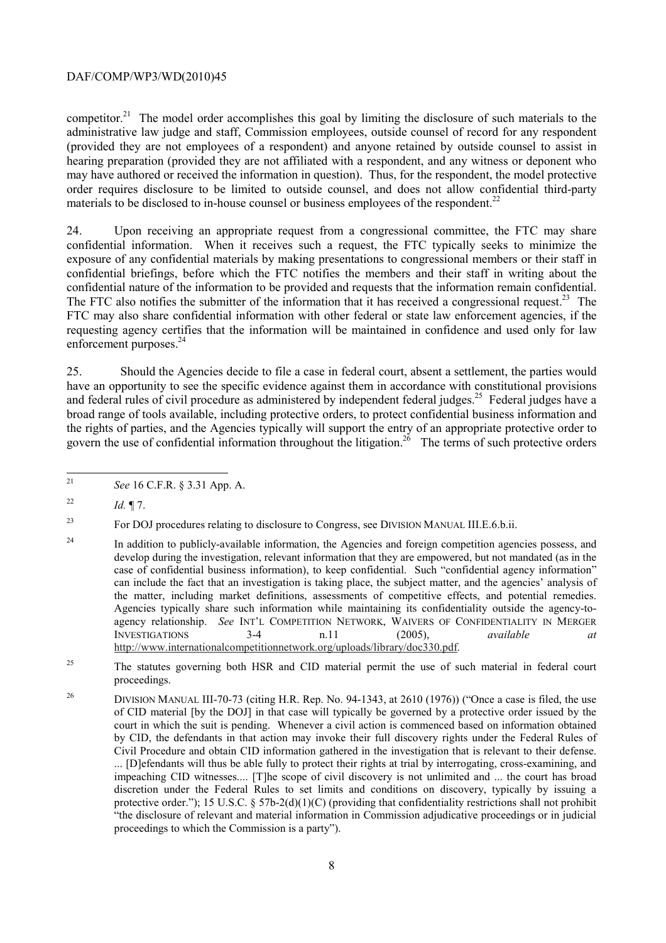competitor.<sup>21</sup> The model order accomplishes this goal by limiting the disclosure of such materials to the administrative law judge and staff, Commission employees, outside counsel of record for any respondent (provided they are not employees of a respondent) and anyone retained by outside counsel to assist in hearing preparation (provided they are not affiliated with a respondent, and any witness or deponent who may have authored or received the information in question). Thus, for the respondent, the model protective order requires disclosure to be limited to outside counsel, and does not allow confidential third-party materials to be disclosed to in-house counsel or business employees of the respondent.<sup>22</sup>

confidential nature of the information to be provided and requests that the information remain confidential. 24. Upon receiving an appropriate request from a congressional committee, the FTC may share confidential information. When it receives such a request, the FTC typically seeks to minimize the exposure of any confidential materials by making presentations to congressional members or their staff in confidential briefings, before which the FTC notifies the members and their staff in writing about the The FTC also notifies the submitter of the information that it has received a congressional request.<sup>23</sup> The FTC may also share confidential information with other federal or state law enforcement agencies, if the requesting agency certifies that the information will be maintained in confidence and used only for law enforcement purposes.<sup>24</sup>

govern the use of confidential information throughout the litigation.<sup>26</sup> The terms of such protective orders 25. Should the Agencies decide to file a case in federal court, absent a settlement, the parties would have an opportunity to see the specific evidence against them in accordance with constitutional provisions and federal rules of civil procedure as administered by independent federal judges.<sup>25</sup> Federal judges have a broad range of tools available, including protective orders, to protect confidential business information and the rights of parties, and the Agencies typically will support the entry of an appropriate protective order to

 $\overline{a}$ 

<sup>23</sup> For DOJ procedures relating to disclosure to Congress, see DIVISION MANUAL III.E.6.b.ii.

<sup>25</sup> The statutes governing both HSR and CID material permit the use of such material in federal court proceedings.

 by CID, the defendants in that action may invoke their full discovery rights under the Federal Rules of protective order."); 15 U.S.C. § 57b-2(d)(1)(C) (providing that confidentiality restrictions shall not prohibit "the disclosure of relevant and material information in Commission adjudicative proceedings or in judicial <sup>26</sup> DIVISION MANUAL III-70-73 (citing H.R. Rep. No. 94-1343, at 2610 (1976)) ("Once a case is filed, the use of CID material [by the DOJ] in that case will typically be governed by a protective order issued by the court in which the suit is pending. Whenever a civil action is commenced based on information obtained Civil Procedure and obtain CID information gathered in the investigation that is relevant to their defense. ... [D]efendants will thus be able fully to protect their rights at trial by interrogating, cross-examining, and impeaching CID witnesses.... [T]he scope of civil discovery is not unlimited and ... the court has broad discretion under the Federal Rules to set limits and conditions on discovery, typically by issuing a proceedings to which the Commission is a party").

<sup>21</sup>*See* 16 C.F.R. § 3.31 App. A.

<sup>&</sup>lt;sup>22</sup> *Id.*  $\P$  7.

 develop during the investigation, relevant information that they are empowered, but not mandated (as in the the matter, including market definitions, assessments of competitive effects, and potential remedies. <sup>24</sup> In addition to publicly-available information, the Agencies and foreign competition agencies possess, and case of confidential business information), to keep confidential. Such "confidential agency information" can include the fact that an investigation is taking place, the subject matter, and the agencies' analysis of Agencies typically share such information while maintaining its confidentiality outside the agency-toagency relationship. *See* INT'L COMPETITION NETWORK, WAIVERS OF CONFIDENTIALITY IN MERGER INVESTIGATIONS 3-4 n.11 (2005), *available at*  http://www.internationalcompetitionnetwork.org/uploads/library/doc330.pdf.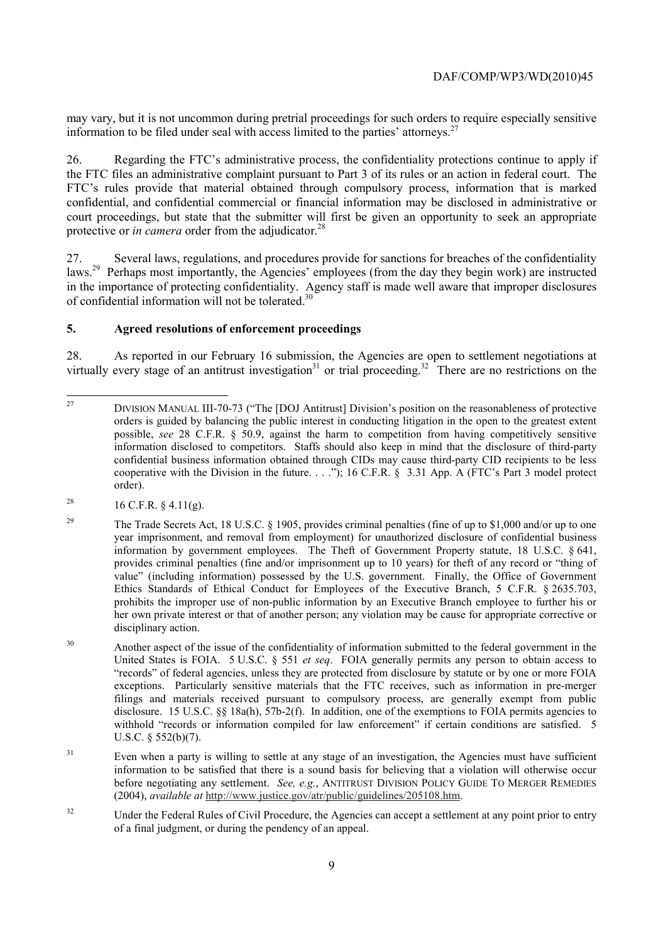may vary, but it is not uncommon during pretrial proceedings for such orders to require especially sensitive information to be filed under seal with access limited to the parties' attorneys.<sup>27</sup>

protective or *in camera* order from the adjudicator.<sup>28</sup> 26. Regarding the FTC's administrative process, the confidentiality protections continue to apply if the FTC files an administrative complaint pursuant to Part 3 of its rules or an action in federal court. The FTC's rules provide that material obtained through compulsory process, information that is marked confidential, and confidential commercial or financial information may be disclosed in administrative or court proceedings, but state that the submitter will first be given an opportunity to seek an appropriate

27. Several laws, regulations, and procedures provide for sanctions for breaches of the confidentiality laws.<sup>29</sup> Perhaps most importantly, the Agencies' employees (from the day they begin work) are instructed in the importance of protecting confidentiality. Agency staff is made well aware that improper disclosures of confidential information will not be tolerated.<sup>30</sup>

# **5. Agreed resolutions of enforcement proceedings**

virtually every stage of an antitrust investigation<sup>31</sup> or trial proceeding.<sup>32</sup> There are no restrictions on the 28. As reported in our February 16 submission, the Agencies are open to settlement negotiations at

- <sup>28</sup> 16 C.F.R. § 4.11(g).
- information by government employees. The Theft of Government Property statute, 18 U.S.C. § 641, <sup>29</sup> The Trade Secrets Act, 18 U.S.C. § 1905, provides criminal penalties (fine of up to \$1,000 and/or up to one year imprisonment, and removal from employment) for unauthorized disclosure of confidential business provides criminal penalties (fine and/or imprisonment up to 10 years) for theft of any record or "thing of value" (including information) possessed by the U.S. government. Finally, the Office of Government Ethics Standards of Ethical Conduct for Employees of the Executive Branch, 5 C.F.R. § 2635.703, prohibits the improper use of non-public information by an Executive Branch employee to further his or her own private interest or that of another person; any violation may be cause for appropriate corrective or disciplinary action.
- exceptions. Particularly sensitive materials that the FTC receives, such as information in pre-merger 30 Another aspect of the issue of the confidentiality of information submitted to the federal government in the United States is FOIA. 5 U.S.C. § 551 *et seq*. FOIA generally permits any person to obtain access to "records" of federal agencies, unless they are protected from disclosure by statute or by one or more FOIA filings and materials received pursuant to compulsory process, are generally exempt from public disclosure. 15 U.S.C. §§ 18a(h), 57b-2(f). In addition, one of the exemptions to FOIA permits agencies to withhold "records or information compiled for law enforcement" if certain conditions are satisfied. 5 U.S.C. § 552(b)(7).
- before negotiating any settlement. *See, e.g.*, ANTITRUST DIVISION POLICY GUIDE TO MERGER REMEDIES <sup>31</sup> Even when a party is willing to settle at any stage of an investigation, the Agencies must have sufficient information to be satisfied that there is a sound basis for believing that a violation will otherwise occur (2004), *available at* http://www.justice.gov/atr/public/guidelines/205108.htm.
- <sup>32</sup> Under the Federal Rules of Civil Procedure, the Agencies can accept a settlement at any point prior to entry of a final judgment, or during the pendency of an appeal.

 $\overline{a}$ 27 DIVISION MANUAL III-70-73 ("The [DOJ Antitrust] Division's position on the reasonableness of protective orders is guided by balancing the public interest in conducting litigation in the open to the greatest extent possible, *see* 28 C.F.R. § 50.9, against the harm to competition from having competitively sensitive information disclosed to competitors. Staffs should also keep in mind that the disclosure of third-party confidential business information obtained through CIDs may cause third-party CID recipients to be less cooperative with the Division in the future. . . ."); 16 C.F.R. § 3.31 App. A (FTC's Part 3 model protect order).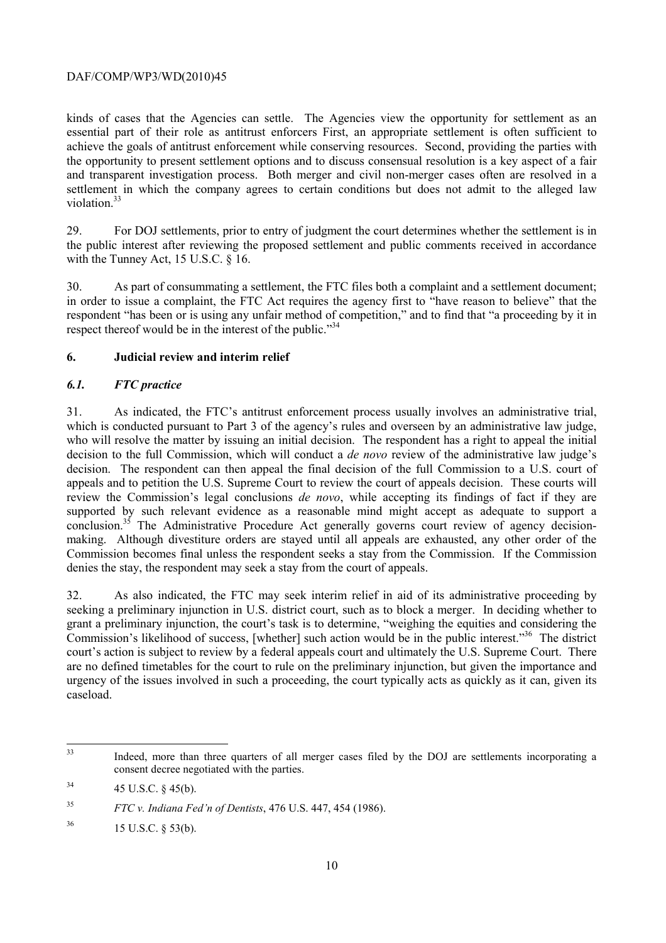kinds of cases that the Agencies can settle. The Agencies view the opportunity for settlement as an essential part of their role as antitrust enforcers First, an appropriate settlement is often sufficient to achieve the goals of antitrust enforcement while conserving resources. Second, providing the parties with the opportunity to present settlement options and to discuss consensual resolution is a key aspect of a fair and transparent investigation process. Both merger and civil non-merger cases often are resolved in a settlement in which the company agrees to certain conditions but does not admit to the alleged law violation.<sup>33</sup>

29. For DOJ settlements, prior to entry of judgment the court determines whether the settlement is in the public interest after reviewing the proposed settlement and public comments received in accordance with the Tunney Act, 15 U.S.C. § 16.

 in order to issue a complaint, the FTC Act requires the agency first to "have reason to believe" that the 30. As part of consummating a settlement, the FTC files both a complaint and a settlement document; respondent "has been or is using any unfair method of competition," and to find that "a proceeding by it in respect thereof would be in the interest of the public."<sup>34</sup>

# **6. Judicial review and interim relief**

# *6.1. FTC practice*

 decision to the full Commission, which will conduct a *de novo* review of the administrative law judge's 31. As indicated, the FTC's antitrust enforcement process usually involves an administrative trial, which is conducted pursuant to Part 3 of the agency's rules and overseen by an administrative law judge, who will resolve the matter by issuing an initial decision. The respondent has a right to appeal the initial decision. The respondent can then appeal the final decision of the full Commission to a U.S. court of appeals and to petition the U.S. Supreme Court to review the court of appeals decision. These courts will review the Commission's legal conclusions *de novo*, while accepting its findings of fact if they are supported by such relevant evidence as a reasonable mind might accept as adequate to support a conclusion.<sup>35</sup> The Administrative Procedure Act generally governs court review of agency decisionmaking. Although divestiture orders are stayed until all appeals are exhausted, any other order of the Commission becomes final unless the respondent seeks a stay from the Commission. If the Commission denies the stay, the respondent may seek a stay from the court of appeals.

 court's action is subject to review by a federal appeals court and ultimately the U.S. Supreme Court. There 32. As also indicated, the FTC may seek interim relief in aid of its administrative proceeding by seeking a preliminary injunction in U.S. district court, such as to block a merger. In deciding whether to grant a preliminary injunction, the court's task is to determine, "weighing the equities and considering the Commission's likelihood of success, [whether] such action would be in the public interest."36 The district are no defined timetables for the court to rule on the preliminary injunction, but given the importance and urgency of the issues involved in such a proceeding, the court typically acts as quickly as it can, given its caseload.

 consent decree negotiated with the parties.<br>
<sup>34</sup> 45 U.S.C. § 45(b). Indeed, more than three quarters of all merger cases filed by the DOJ are settlements incorporating a

<sup>35</sup> <sup>35</sup>*FTC v. Indiana Fed'n of Dentists*, 476 U.S. 447, 454 (1986).

<sup>36 15</sup> U.S.C. § 53(b).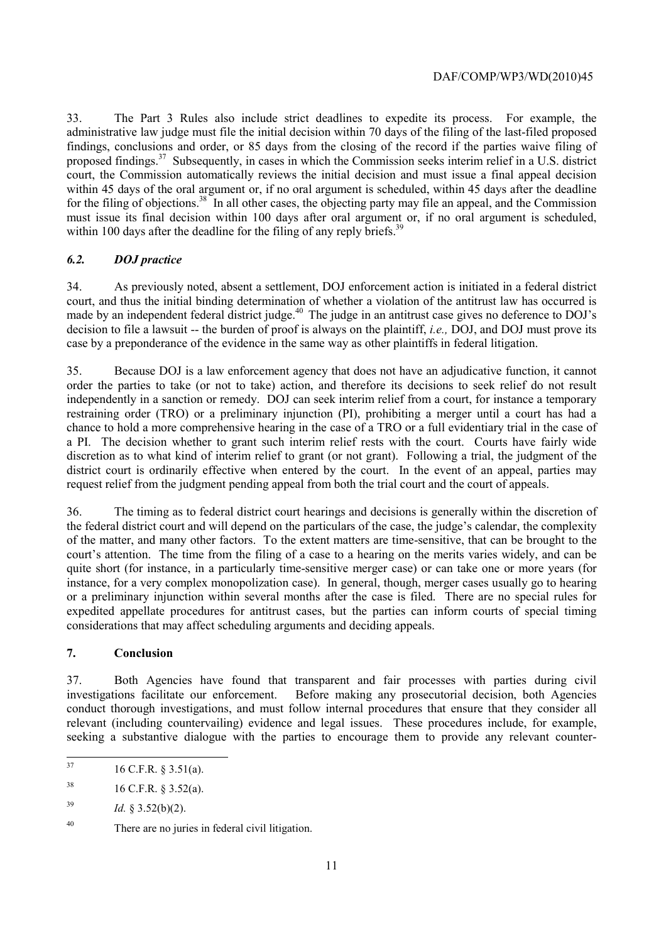administrative law judge must file the initial decision within 70 days of the filing of the last-filed proposed for the filing of objections.<sup>38</sup> In all other cases, the objecting party may file an appeal, and the Commission 33. The Part 3 Rules also include strict deadlines to expedite its process. For example, the findings, conclusions and order, or 85 days from the closing of the record if the parties waive filing of proposed findings.<sup>37</sup> Subsequently, in cases in which the Commission seeks interim relief in a U.S. district court, the Commission automatically reviews the initial decision and must issue a final appeal decision within 45 days of the oral argument or, if no oral argument is scheduled, within 45 days after the deadline must issue its final decision within 100 days after oral argument or, if no oral argument is scheduled, within 100 days after the deadline for the filing of any reply briefs.<sup>39</sup>

## *6.2. DOJ practice*

 court, and thus the initial binding determination of whether a violation of the antitrust law has occurred is 34. As previously noted, absent a settlement, DOJ enforcement action is initiated in a federal district made by an independent federal district judge.<sup>40</sup> The judge in an antitrust case gives no deference to DOJ's decision to file a lawsuit -- the burden of proof is always on the plaintiff, *i.e.,* DOJ, and DOJ must prove its case by a preponderance of the evidence in the same way as other plaintiffs in federal litigation.

 request relief from the judgment pending appeal from both the trial court and the court of appeals. 35. Because DOJ is a law enforcement agency that does not have an adjudicative function, it cannot order the parties to take (or not to take) action, and therefore its decisions to seek relief do not result independently in a sanction or remedy. DOJ can seek interim relief from a court, for instance a temporary restraining order (TRO) or a preliminary injunction (PI), prohibiting a merger until a court has had a chance to hold a more comprehensive hearing in the case of a TRO or a full evidentiary trial in the case of a PI. The decision whether to grant such interim relief rests with the court. Courts have fairly wide discretion as to what kind of interim relief to grant (or not grant). Following a trial, the judgment of the district court is ordinarily effective when entered by the court. In the event of an appeal, parties may

 court's attention. The time from the filing of a case to a hearing on the merits varies widely, and can be 36. The timing as to federal district court hearings and decisions is generally within the discretion of the federal district court and will depend on the particulars of the case, the judge's calendar, the complexity of the matter, and many other factors. To the extent matters are time-sensitive, that can be brought to the quite short (for instance, in a particularly time-sensitive merger case) or can take one or more years (for instance, for a very complex monopolization case). In general, though, merger cases usually go to hearing or a preliminary injunction within several months after the case is filed. There are no special rules for expedited appellate procedures for antitrust cases, but the parties can inform courts of special timing considerations that may affect scheduling arguments and deciding appeals.

### **7. Conclusion**

37. Both Agencies have found that transparent and fair processes with parties during civil investigations facilitate our enforcement. Before making any prosecutorial decision, both Agencies conduct thorough investigations, and must follow internal procedures that ensure that they consider all relevant (including countervailing) evidence and legal issues. These procedures include, for example, seeking a substantive dialogue with the parties to encourage them to provide any relevant counter-

<sup>16</sup> C.F.R. § 3.51(a).

<sup>38</sup> 38 16 C.F.R. § 3.52(a).

<sup>39</sup> Id. § 3.52(b)(2).

<sup>40</sup> There are no juries in federal civil litigation.